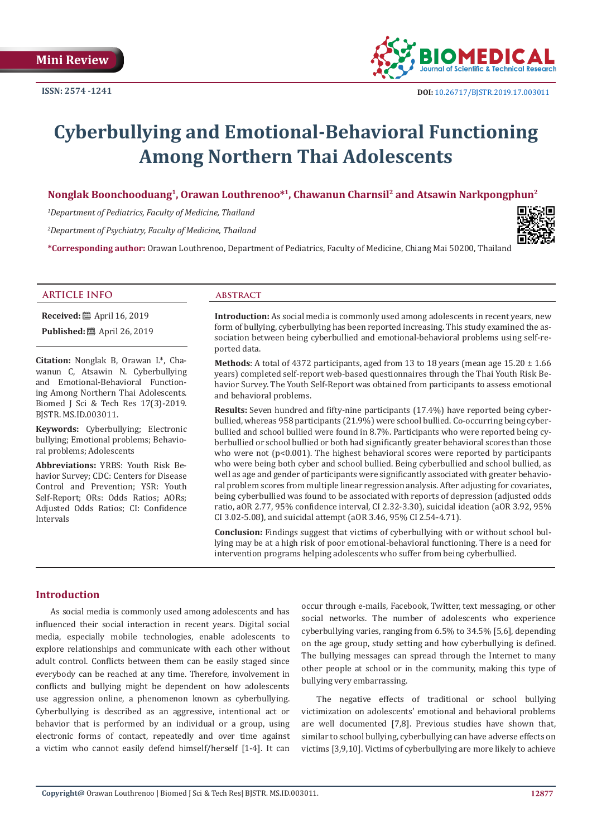

# **Cyberbullying and Emotional-Behavioral Functioning Among Northern Thai Adolescents**

# **Nonglak Boonchooduang1, Orawan Louthrenoo\*1, Chawanun Charnsil2 and Atsawin Narkpongphun2**

*1 Department of Pediatrics, Faculty of Medicine, Thailand* 

*2 Department of Psychiatry, Faculty of Medicine, Thailand*

**\*Corresponding author:** Orawan Louthrenoo, Department of Pediatrics, Faculty of Medicine, Chiang Mai 50200, Thailand



#### **ARTICLE INFO abstract**

**Received:** 圖 April 16, 2019 **Published:** ■ April 26, 2019

**Citation:** Nonglak B, Orawan L\*, Chawanun C, Atsawin N. Cyberbullying and Emotional-Behavioral Functioning Among Northern Thai Adolescents. Biomed J Sci & Tech Res 17(3)-2019. BJSTR. MS.ID.003011.

**Keywords:** Cyberbullying; Electronic bullying; Emotional problems; Behavioral problems; Adolescents

**Abbreviations:** YRBS: Youth Risk Behavior Survey; CDC: Centers for Disease Control and Prevention; YSR: Youth Self-Report; ORs: Odds Ratios; AORs; Adjusted Odds Ratios; CI: Confidence Intervals

**Introduction:** As social media is commonly used among adolescents in recent years, new form of bullying, cyberbullying has been reported increasing. This study examined the association between being cyberbullied and emotional-behavioral problems using self-reported data.

**Methods:** A total of 4372 participants, aged from 13 to 18 years (mean age  $15.20 \pm 1.66$ ) years) completed self-report web-based questionnaires through the Thai Youth Risk Behavior Survey. The Youth Self-Report was obtained from participants to assess emotional and behavioral problems.

**Results:** Seven hundred and fifty-nine participants (17.4%) have reported being cyberbullied, whereas 958 participants (21.9%) were school bullied. Co-occurring being cyberbullied and school bullied were found in 8.7%. Participants who were reported being cyberbullied or school bullied or both had significantly greater behavioral scores than those who were not ( $p<0.001$ ). The highest behavioral scores were reported by participants who were being both cyber and school bullied. Being cyberbullied and school bullied, as well as age and gender of participants were significantly associated with greater behavioral problem scores from multiple linear regression analysis. After adjusting for covariates, being cyberbullied was found to be associated with reports of depression (adjusted odds ratio, aOR 2.77, 95% confidence interval, CI 2.32-3.30), suicidal ideation (aOR 3.92, 95% CI 3.02-5.08), and suicidal attempt (aOR 3.46, 95% CI 2.54-4.71).

**Conclusion:** Findings suggest that victims of cyberbullying with or without school bullying may be at a high risk of poor emotional-behavioral functioning. There is a need for intervention programs helping adolescents who suffer from being cyberbullied.

## **Introduction**

As social media is commonly used among adolescents and has influenced their social interaction in recent years. Digital social media, especially mobile technologies, enable adolescents to explore relationships and communicate with each other without adult control. Conflicts between them can be easily staged since everybody can be reached at any time. Therefore, involvement in conflicts and bullying might be dependent on how adolescents use aggression online, a phenomenon known as cyberbullying. Cyberbullying is described as an aggressive, intentional act or behavior that is performed by an individual or a group, using electronic forms of contact, repeatedly and over time against a victim who cannot easily defend himself/herself [1-4]. It can

occur through e-mails, Facebook, Twitter, text messaging, or other social networks. The number of adolescents who experience cyberbullying varies, ranging from 6.5% to 34.5% [5,6], depending on the age group, study setting and how cyberbullying is defined. The bullying messages can spread through the Internet to many other people at school or in the community, making this type of bullying very embarrassing.

The negative effects of traditional or school bullying victimization on adolescents' emotional and behavioral problems are well documented [7,8]. Previous studies have shown that, similar to school bullying, cyberbullying can have adverse effects on victims [3,9,10]. Victims of cyberbullying are more likely to achieve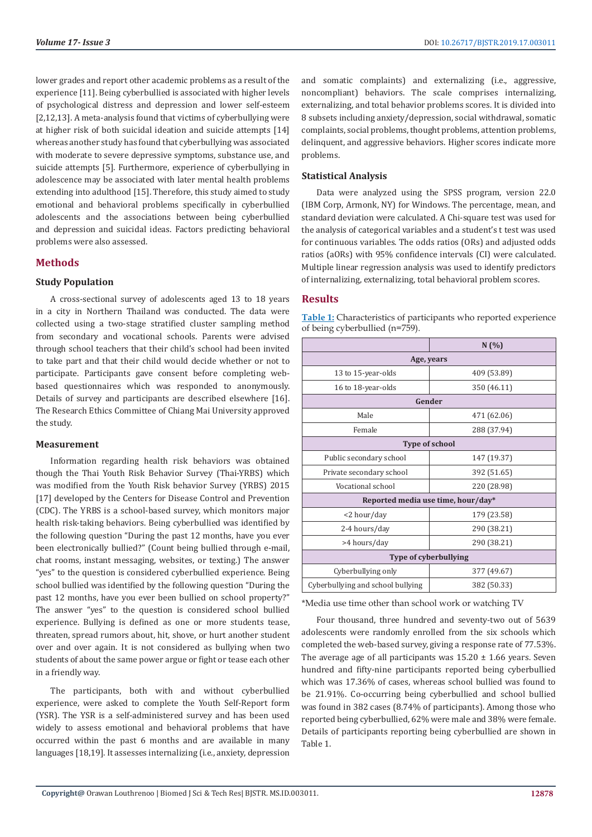lower grades and report other academic problems as a result of the experience [11]. Being cyberbullied is associated with higher levels of psychological distress and depression and lower self-esteem [2,12,13]. A meta-analysis found that victims of cyberbullying were at higher risk of both suicidal ideation and suicide attempts [14] whereas another study has found that cyberbullying was associated with moderate to severe depressive symptoms, substance use, and suicide attempts [5]. Furthermore, experience of cyberbullying in adolescence may be associated with later mental health problems extending into adulthood [15]. Therefore, this study aimed to study emotional and behavioral problems specifically in cyberbullied adolescents and the associations between being cyberbullied and depression and suicidal ideas. Factors predicting behavioral problems were also assessed.

### **Methods**

#### **Study Population**

A cross-sectional survey of adolescents aged 13 to 18 years in a city in Northern Thailand was conducted. The data were collected using a two-stage stratified cluster sampling method from secondary and vocational schools. Parents were advised through school teachers that their child's school had been invited to take part and that their child would decide whether or not to participate. Participants gave consent before completing webbased questionnaires which was responded to anonymously. Details of survey and participants are described elsewhere [16]. The Research Ethics Committee of Chiang Mai University approved the study.

#### **Measurement**

Information regarding health risk behaviors was obtained though the Thai Youth Risk Behavior Survey (Thai-YRBS) which was modified from the Youth Risk behavior Survey (YRBS) 2015 [17] developed by the Centers for Disease Control and Prevention (CDC). The YRBS is a school-based survey, which monitors major health risk-taking behaviors. Being cyberbullied was identified by the following question "During the past 12 months, have you ever been electronically bullied?" (Count being bullied through e-mail, chat rooms, instant messaging, websites, or texting.) The answer "yes" to the question is considered cyberbullied experience. Being school bullied was identified by the following question "During the past 12 months, have you ever been bullied on school property?" The answer "yes" to the question is considered school bullied experience. Bullying is defined as one or more students tease, threaten, spread rumors about, hit, shove, or hurt another student over and over again. It is not considered as bullying when two students of about the same power argue or fight or tease each other in a friendly way.

The participants, both with and without cyberbullied experience, were asked to complete the Youth Self-Report form (YSR). The YSR is a self-administered survey and has been used widely to assess emotional and behavioral problems that have occurred within the past 6 months and are available in many languages [18,19]. It assesses internalizing (i.e., anxiety, depression

and somatic complaints) and externalizing (i.e., aggressive, noncompliant) behaviors. The scale comprises internalizing, externalizing, and total behavior problems scores. It is divided into 8 subsets including anxiety/depression, social withdrawal, somatic complaints, social problems, thought problems, attention problems, delinquent, and aggressive behaviors. Higher scores indicate more problems.

#### **Statistical Analysis**

Data were analyzed using the SPSS program, version 22.0 (IBM Corp, Armonk, NY) for Windows. The percentage, mean, and standard deviation were calculated. A Chi-square test was used for the analysis of categorical variables and a student's t test was used for continuous variables. The odds ratios (ORs) and adjusted odds ratios (aORs) with 95% confidence intervals (CI) were calculated. Multiple linear regression analysis was used to identify predictors of internalizing, externalizing, total behavioral problem scores.

#### **Results**

**Table 1:** Characteristics of participants who reported experience of being cyberbullied (n=759).

|                                    | N(%         |  |  |  |  |
|------------------------------------|-------------|--|--|--|--|
| Age, years                         |             |  |  |  |  |
| 13 to 15-year-olds                 | 409 (53.89) |  |  |  |  |
| 16 to 18-year-olds                 | 350 (46.11) |  |  |  |  |
| Gender                             |             |  |  |  |  |
| Male                               | 471 (62.06) |  |  |  |  |
| Female                             | 288 (37.94) |  |  |  |  |
| <b>Type of school</b>              |             |  |  |  |  |
| Public secondary school            | 147 (19.37) |  |  |  |  |
| Private secondary school           | 392 (51.65) |  |  |  |  |
| Vocational school                  | 220 (28.98) |  |  |  |  |
| Reported media use time, hour/day* |             |  |  |  |  |
| <2 hour/day                        | 179 (23.58) |  |  |  |  |
| 2-4 hours/day                      | 290 (38.21) |  |  |  |  |
| >4 hours/day                       | 290 (38.21) |  |  |  |  |
| <b>Type of cyberbullying</b>       |             |  |  |  |  |
| Cyberbullying only                 | 377 (49.67) |  |  |  |  |
| Cyberbullying and school bullying  | 382 (50.33) |  |  |  |  |

\*Media use time other than school work or watching TV

Four thousand, three hundred and seventy-two out of 5639 adolescents were randomly enrolled from the six schools which completed the web-based survey, giving a response rate of 77.53%. The average age of all participants was  $15.20 \pm 1.66$  years. Seven hundred and fifty-nine participants reported being cyberbullied which was 17.36% of cases, whereas school bullied was found to be 21.91%. Co-occurring being cyberbullied and school bullied was found in 382 cases (8.74% of participants). Among those who reported being cyberbullied, 62% were male and 38% were female. Details of participants reporting being cyberbullied are shown in Table 1.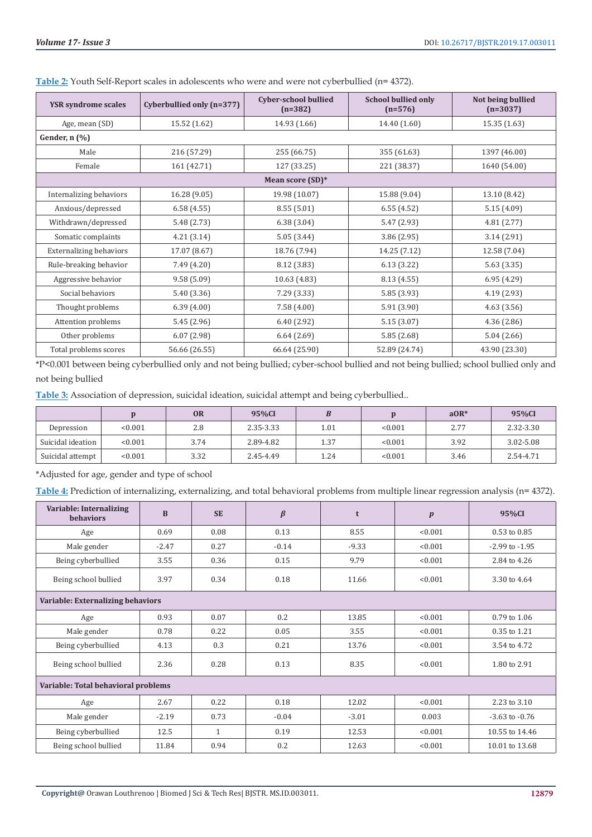| <b>YSR</b> syndrome scales     | Cyberbullied only (n=377)                 | <b>Cyber-school bullied</b><br>$(n=382)$ | <b>School bullied only</b><br>$(n=576)$ | Not being bullied<br>$(n=3037)$ |  |  |  |
|--------------------------------|-------------------------------------------|------------------------------------------|-----------------------------------------|---------------------------------|--|--|--|
| Age, mean (SD)                 | 15.52 (1.62)                              | 14.93 (1.66)                             | 14.40 (1.60)                            | 15.35(1.63)                     |  |  |  |
| Gender, n (%)                  |                                           |                                          |                                         |                                 |  |  |  |
| Male                           | 216 (57.29)                               | 255 (66.75)                              | 355 (61.63)                             | 1397 (46.00)                    |  |  |  |
| Female                         | 161 (42.71)<br>127 (33.25)<br>221 (38.37) |                                          | 1640 (54.00)                            |                                 |  |  |  |
| Mean score (SD)*               |                                           |                                          |                                         |                                 |  |  |  |
| Internalizing behaviors        | 16.28 (9.05)                              | 19.98 (10.07)                            | 15.88 (9.04)                            | 13.10 (8.42)                    |  |  |  |
| Anxious/depressed              | 6.58(4.55)                                | 8.55(5.01)                               | 6.55(4.52)                              | 5.15(4.09)                      |  |  |  |
| Withdrawn/depressed            | 5.48 (2.73)                               | 6.38(3.04)                               | 5.47 (2.93)                             | 4.81(2.77)                      |  |  |  |
| Somatic complaints             | 4.21(3.14)                                | 5.05(3.44)                               | 3.86 (2.95)                             | 3.14(2.91)                      |  |  |  |
| <b>Externalizing behaviors</b> | 17.07 (8.67)                              | 18.76 (7.94)                             | 14.25 (7.12)                            | 12.58 (7.04)                    |  |  |  |
| Rule-breaking behavior         | 7.49 (4.20)                               | 8.12(3.83)                               | 6.13(3.22)                              | 5.63(3.35)                      |  |  |  |
| Aggressive behavior            | 9.58(5.09)                                | 10.63 (4.83)                             | 8.13 (4.55)                             | 6.95(4.29)                      |  |  |  |
| Social behaviors               | 5.40(3.36)                                | 7.29(3.33)                               | 5.85 (3.93)                             | 4.19(2.93)                      |  |  |  |
| Thought problems               | 6.39(4.00)                                | 7.58(4.00)                               | 5.91 (3.90)                             | 4.63(3.56)                      |  |  |  |
| Attention problems             | 5.45(2.96)                                | 6.40(2.92)                               | 5.15(3.07)                              | 4.36(2.86)                      |  |  |  |
| Other problems                 | 6.07(2.98)                                | 6.64(2.69)                               | 5.85(2.68)                              | 5.04(2.66)                      |  |  |  |
| Total problems scores          | 56.66 (26.55)                             | 66.64 (25.90)                            | 52.89 (24.74)                           | 43.90 (23.30)                   |  |  |  |

**Table 2:** Youth Self-Report scales in adolescents who were and were not cyberbullied (n= 4372).

\*P<0.001 between being cyberbullied only and not being bullied; cyber-school bullied and not being bullied; school bullied only and not being bullied

**Table 3:** Association of depression, suicidal ideation, suicidal attempt and being cyberbullied..

|                   |         | <b>OR</b> | 95%CI     | D    |         | $aOR*$ | 95%CI     |
|-------------------|---------|-----------|-----------|------|---------|--------|-----------|
| Depression        | < 0.001 | 2.8       | 2.35-3.33 | 1.01 | < 0.001 | 2.77   | 2.32-3.30 |
| Suicidal ideation | < 0.001 | 3.74      | 2.89-4.82 | 1.37 | < 0.001 | 3.92   | 3.02-5.08 |
| Suicidal attempt  | < 0.001 | 3.32      | 2.45-4.49 | 1.24 | < 0.001 | 3.46   | 2.54-4.71 |

\*Adjusted for age, gender and type of school

**Table 4:** Prediction of internalizing, externalizing, and total behavioral problems from multiple linear regression analysis (n= 4372).

| Variable: Internalizing<br><b>behaviors</b> | $\bf{B}$ | <b>SE</b>    | $\beta$ | t       | $\boldsymbol{p}$ | 95%CI              |
|---------------------------------------------|----------|--------------|---------|---------|------------------|--------------------|
| Age                                         | 0.69     | 0.08         | 0.13    | 8.55    | < 0.001          | $0.53$ to $0.85$   |
| Male gender                                 | $-2.47$  | 0.27         | $-0.14$ | $-9.33$ | < 0.001          | $-2.99$ to $-1.95$ |
| Being cyberbullied                          | 3.55     | 0.36         | 0.15    | 9.79    | < 0.001          | 2.84 to 4.26       |
| Being school bullied                        | 3.97     | 0.34         | 0.18    | 11.66   | < 0.001          | 3.30 to 4.64       |
| Variable: Externalizing behaviors           |          |              |         |         |                  |                    |
| Age                                         | 0.93     | 0.07         | 0.2     | 13.85   | < 0.001          | 0.79 to 1.06       |
| Male gender                                 | 0.78     | 0.22         | 0.05    | 3.55    | < 0.001          | 0.35 to 1.21       |
| Being cyberbullied                          | 4.13     | 0.3          | 0.21    | 13.76   | < 0.001          | 3.54 to 4.72       |
| Being school bullied                        | 2.36     | 0.28         | 0.13    | 8.35    | < 0.001          | 1.80 to 2.91       |
| Variable: Total behavioral problems         |          |              |         |         |                  |                    |
| Age                                         | 2.67     | 0.22         | 0.18    | 12.02   | < 0.001          | 2.23 to 3.10       |
| Male gender                                 | $-2.19$  | 0.73         | $-0.04$ | $-3.01$ | 0.003            | $-3.63$ to $-0.76$ |
| Being cyberbullied                          | 12.5     | $\mathbf{1}$ | 0.19    | 12.53   | < 0.001          | 10.55 to 14.46     |
| Being school bullied                        | 11.84    | 0.94         | 0.2     | 12.63   | < 0.001          | 10.01 to 13.68     |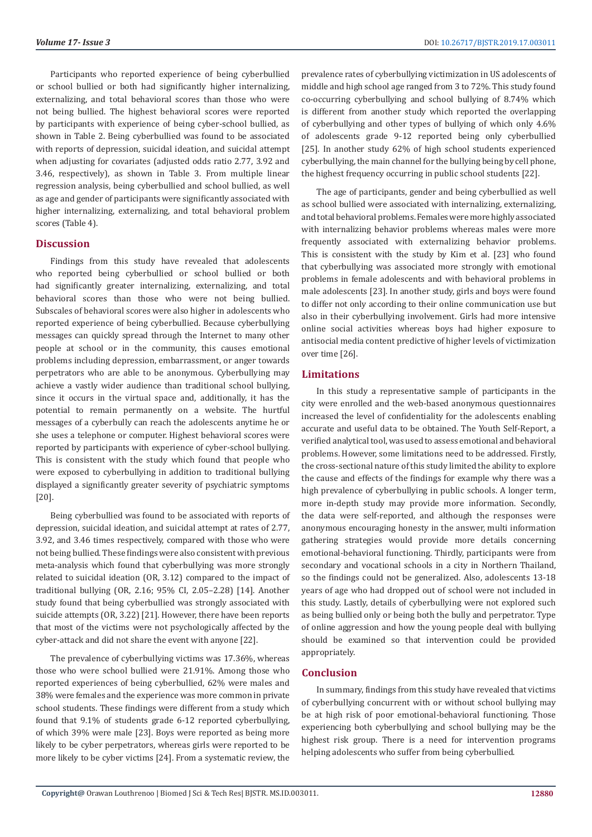Participants who reported experience of being cyberbullied or school bullied or both had significantly higher internalizing, externalizing, and total behavioral scores than those who were not being bullied. The highest behavioral scores were reported by participants with experience of being cyber-school bullied, as shown in Table 2. Being cyberbullied was found to be associated with reports of depression, suicidal ideation, and suicidal attempt when adjusting for covariates (adjusted odds ratio 2.77, 3.92 and 3.46, respectively), as shown in Table 3. From multiple linear regression analysis, being cyberbullied and school bullied, as well as age and gender of participants were significantly associated with higher internalizing, externalizing, and total behavioral problem scores (Table 4).

#### **Discussion**

Findings from this study have revealed that adolescents who reported being cyberbullied or school bullied or both had significantly greater internalizing, externalizing, and total behavioral scores than those who were not being bullied. Subscales of behavioral scores were also higher in adolescents who reported experience of being cyberbullied. Because cyberbullying messages can quickly spread through the Internet to many other people at school or in the community, this causes emotional problems including depression, embarrassment, or anger towards perpetrators who are able to be anonymous. Cyberbullying may achieve a vastly wider audience than traditional school bullying, since it occurs in the virtual space and, additionally, it has the potential to remain permanently on a website. The hurtful messages of a cyberbully can reach the adolescents anytime he or she uses a telephone or computer. Highest behavioral scores were reported by participants with experience of cyber-school bullying. This is consistent with the study which found that people who were exposed to cyberbullying in addition to traditional bullying displayed a significantly greater severity of psychiatric symptoms [20].

Being cyberbullied was found to be associated with reports of depression, suicidal ideation, and suicidal attempt at rates of 2.77, 3.92, and 3.46 times respectively, compared with those who were not being bullied. These findings were also consistent with previous meta-analysis which found that cyberbullying was more strongly related to suicidal ideation (OR, 3.12) compared to the impact of traditional bullying (OR, 2.16; 95% CI, 2.05–2.28) [14]. Another study found that being cyberbullied was strongly associated with suicide attempts (OR, 3.22) [21]. However, there have been reports that most of the victims were not psychologically affected by the cyber-attack and did not share the event with anyone [22].

The prevalence of cyberbullying victims was 17.36%, whereas those who were school bullied were 21.91%. Among those who reported experiences of being cyberbullied, 62% were males and 38% were females and the experience was more common in private school students. These findings were different from a study which found that 9.1% of students grade 6-12 reported cyberbullying, of which 39% were male [23]. Boys were reported as being more likely to be cyber perpetrators, whereas girls were reported to be more likely to be cyber victims [24]. From a systematic review, the

prevalence rates of cyberbullying victimization in US adolescents of middle and high school age ranged from 3 to 72%. This study found co-occurring cyberbullying and school bullying of 8.74% which is different from another study which reported the overlapping of cyberbullying and other types of bullying of which only 4.6% of adolescents grade 9-12 reported being only cyberbullied [25]. In another study 62% of high school students experienced cyberbullying, the main channel for the bullying being by cell phone, the highest frequency occurring in public school students [22].

The age of participants, gender and being cyberbullied as well as school bullied were associated with internalizing, externalizing, and total behavioral problems. Females were more highly associated with internalizing behavior problems whereas males were more frequently associated with externalizing behavior problems. This is consistent with the study by Kim et al. [23] who found that cyberbullying was associated more strongly with emotional problems in female adolescents and with behavioral problems in male adolescents [23]. In another study, girls and boys were found to differ not only according to their online communication use but also in their cyberbullying involvement. Girls had more intensive online social activities whereas boys had higher exposure to antisocial media content predictive of higher levels of victimization over time [26].

#### **Limitations**

In this study a representative sample of participants in the city were enrolled and the web-based anonymous questionnaires increased the level of confidentiality for the adolescents enabling accurate and useful data to be obtained. The Youth Self-Report, a verified analytical tool, was used to assess emotional and behavioral problems. However, some limitations need to be addressed. Firstly, the cross-sectional nature of this study limited the ability to explore the cause and effects of the findings for example why there was a high prevalence of cyberbullying in public schools. A longer term, more in-depth study may provide more information. Secondly, the data were self-reported, and although the responses were anonymous encouraging honesty in the answer, multi information gathering strategies would provide more details concerning emotional-behavioral functioning. Thirdly, participants were from secondary and vocational schools in a city in Northern Thailand, so the findings could not be generalized. Also, adolescents 13-18 years of age who had dropped out of school were not included in this study. Lastly, details of cyberbullying were not explored such as being bullied only or being both the bully and perpetrator. Type of online aggression and how the young people deal with bullying should be examined so that intervention could be provided appropriately.

### **Conclusion**

In summary, findings from this study have revealed that victims of cyberbullying concurrent with or without school bullying may be at high risk of poor emotional-behavioral functioning. Those experiencing both cyberbullying and school bullying may be the highest risk group. There is a need for intervention programs helping adolescents who suffer from being cyberbullied.